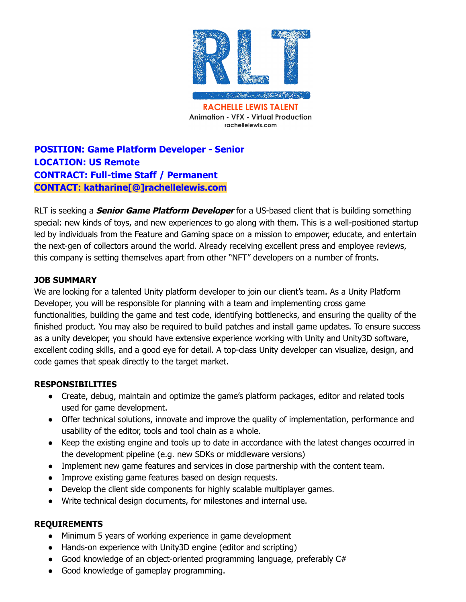

**RACHELLE LEWIS TALENT Animation - VFX - Virtual Production** rachellelewis.com

# **POSITION: Game Platform Developer - Senior LOCATION: US Remote CONTRACT: Full-time Staff / Permanent CONTACT: katharine[@]rachellelewis.com**

RLT is seeking a **Senior Game Platform Developer** for a US-based client that is building something special: new kinds of toys, and new experiences to go along with them. This is a well-positioned startup led by individuals from the Feature and Gaming space on a mission to empower, educate, and entertain the next-gen of collectors around the world. Already receiving excellent press and employee reviews, this company is setting themselves apart from other "NFT" developers on a number of fronts.

## **JOB SUMMARY**

We are looking for a talented Unity platform developer to join our client's team. As a Unity Platform Developer, you will be responsible for planning with a team and implementing cross game functionalities, building the game and test code, identifying bottlenecks, and ensuring the quality of the finished product. You may also be required to build patches and install game updates. To ensure success as a unity developer, you should have extensive experience working with Unity and Unity3D software, excellent coding skills, and a good eye for detail. A top-class Unity developer can visualize, design, and code games that speak directly to the target market.

#### **RESPONSIBILITIES**

- Create, debug, maintain and optimize the game's platform packages, editor and related tools used for game development.
- Offer technical solutions, innovate and improve the quality of implementation, performance and usability of the editor, tools and tool chain as a whole.
- Keep the existing engine and tools up to date in accordance with the latest changes occurred in the development pipeline (e.g. new SDKs or middleware versions)
- Implement new game features and services in close partnership with the content team.
- Improve existing game features based on design requests.
- Develop the client side components for highly scalable multiplayer games.
- Write technical design documents, for milestones and internal use.

#### **REQUIREMENTS**

- Minimum 5 years of working experience in game development
- Hands-on experience with Unity3D engine (editor and scripting)
- Good knowledge of an object-oriented programming language, preferably C#
- Good knowledge of gameplay programming.